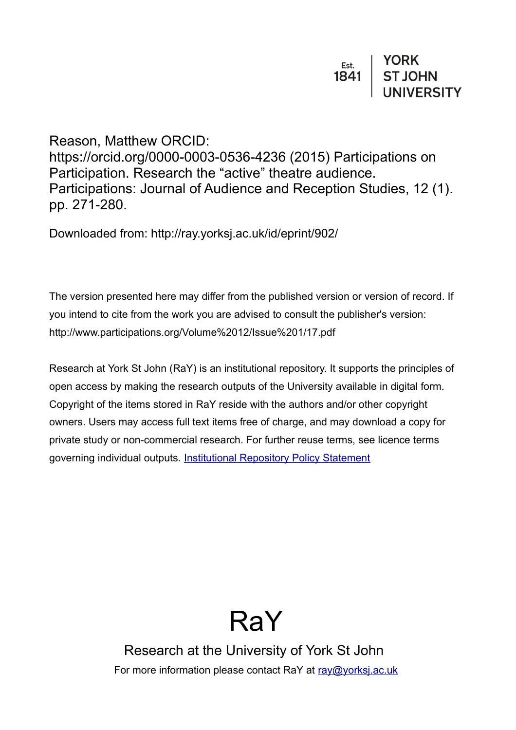Reason, Matthew ORCID: https://orcid.org/0000-0003-0536-4236 (2015) Participations on Participation. Research the "active" theatre audience. Participations: Journal of Audience and Reception Studies, 12 (1). pp. 271-280.

Downloaded from: http://ray.yorksj.ac.uk/id/eprint/902/

The version presented here may differ from the published version or version of record. If you intend to cite from the work you are advised to consult the publisher's version: http://www.participations.org/Volume%2012/Issue%201/17.pdf

Research at York St John (RaY) is an institutional repository. It supports the principles of open access by making the research outputs of the University available in digital form. Copyright of the items stored in RaY reside with the authors and/or other copyright owners. Users may access full text items free of charge, and may download a copy for private study or non-commercial research. For further reuse terms, see licence terms governing individual outputs. [Institutional Repository Policy Statement](https://www.yorksj.ac.uk/ils/repository-policies/)



Research at the University of York St John For more information please contact RaY at [ray@yorksj.ac.uk](mailto:ray@yorksj.ac.uk)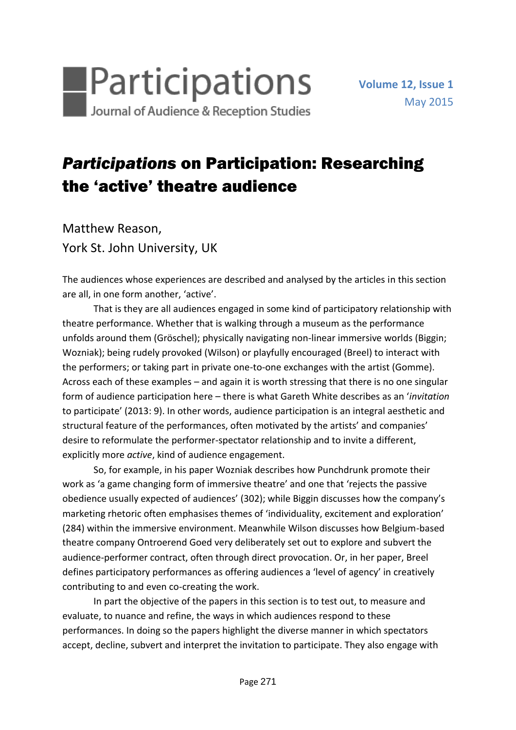

## *Participations* on Participation: Researching the 'active' theatre audience

Matthew Reason, York St. John University, UK

The audiences whose experiences are described and analysed by the articles in this section are all, in one form another, 'active'.

That is they are all audiences engaged in some kind of participatory relationship with theatre performance. Whether that is walking through a museum as the performance unfolds around them (Gröschel); physically navigating non-linear immersive worlds (Biggin; Wozniak); being rudely provoked (Wilson) or playfully encouraged (Breel) to interact with the performers; or taking part in private one-to-one exchanges with the artist (Gomme). Across each of these examples – and again it is worth stressing that there is no one singular form of audience participation here – there is what Gareth White describes as an '*invitation* to participate' (2013: 9). In other words, audience participation is an integral aesthetic and structural feature of the performances, often motivated by the artists' and companies' desire to reformulate the performer-spectator relationship and to invite a different, explicitly more *active*, kind of audience engagement.

So, for example, in his paper Wozniak describes how Punchdrunk promote their work as 'a game changing form of immersive theatre' and one that 'rejects the passive obedience usually expected of audiences' (302); while Biggin discusses how the company's marketing rhetoric often emphasises themes of 'individuality, excitement and exploration' (284) within the immersive environment. Meanwhile Wilson discusses how Belgium-based theatre company Ontroerend Goed very deliberately set out to explore and subvert the audience-performer contract, often through direct provocation. Or, in her paper, Breel defines participatory performances as offering audiences a 'level of agency' in creatively contributing to and even co-creating the work.

In part the objective of the papers in this section is to test out, to measure and evaluate, to nuance and refine, the ways in which audiences respond to these performances. In doing so the papers highlight the diverse manner in which spectators accept, decline, subvert and interpret the invitation to participate. They also engage with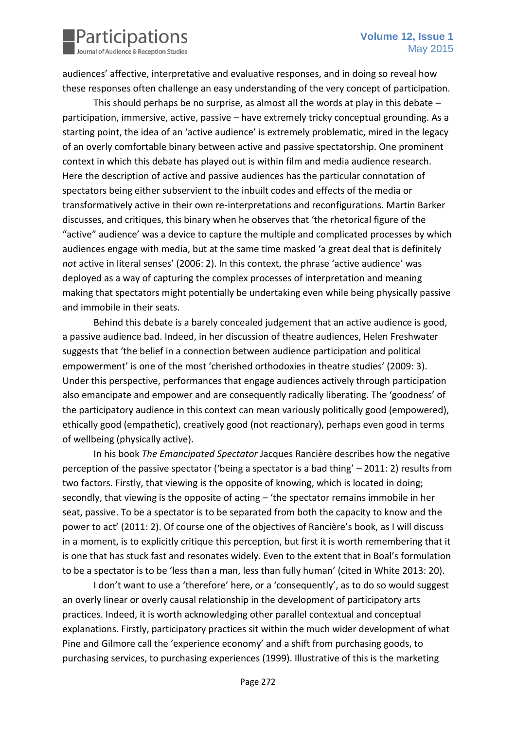

audiences' affective, interpretative and evaluative responses, and in doing so reveal how these responses often challenge an easy understanding of the very concept of participation.

This should perhaps be no surprise, as almost all the words at play in this debate – participation, immersive, active, passive – have extremely tricky conceptual grounding. As a starting point, the idea of an 'active audience' is extremely problematic, mired in the legacy of an overly comfortable binary between active and passive spectatorship. One prominent context in which this debate has played out is within film and media audience research. Here the description of active and passive audiences has the particular connotation of spectators being either subservient to the inbuilt codes and effects of the media or transformatively active in their own re-interpretations and reconfigurations. Martin Barker discusses, and critiques, this binary when he observes that 'the rhetorical figure of the "active" audience' was a device to capture the multiple and complicated processes by which audiences engage with media, but at the same time masked 'a great deal that is definitely *not* active in literal senses' (2006: 2). In this context, the phrase 'active audience' was deployed as a way of capturing the complex processes of interpretation and meaning making that spectators might potentially be undertaking even while being physically passive and immobile in their seats.

Behind this debate is a barely concealed judgement that an active audience is good, a passive audience bad. Indeed, in her discussion of theatre audiences, Helen Freshwater suggests that 'the belief in a connection between audience participation and political empowerment' is one of the most 'cherished orthodoxies in theatre studies' (2009: 3). Under this perspective, performances that engage audiences actively through participation also emancipate and empower and are consequently radically liberating. The 'goodness' of the participatory audience in this context can mean variously politically good (empowered), ethically good (empathetic), creatively good (not reactionary), perhaps even good in terms of wellbeing (physically active).

In his book *The Emancipated Spectator* Jacques Rancière describes how the negative perception of the passive spectator ('being a spectator is a bad thing' – 2011: 2) results from two factors. Firstly, that viewing is the opposite of knowing, which is located in doing; secondly, that viewing is the opposite of acting – 'the spectator remains immobile in her seat, passive. To be a spectator is to be separated from both the capacity to know and the power to act' (2011: 2). Of course one of the objectives of Rancière's book, as I will discuss in a moment, is to explicitly critique this perception, but first it is worth remembering that it is one that has stuck fast and resonates widely. Even to the extent that in Boal's formulation to be a spectator is to be 'less than a man, less than fully human' (cited in White 2013: 20).

I don't want to use a 'therefore' here, or a 'consequently', as to do so would suggest an overly linear or overly causal relationship in the development of participatory arts practices. Indeed, it is worth acknowledging other parallel contextual and conceptual explanations. Firstly, participatory practices sit within the much wider development of what Pine and Gilmore call the 'experience economy' and a shift from purchasing goods, to purchasing services, to purchasing experiences (1999). Illustrative of this is the marketing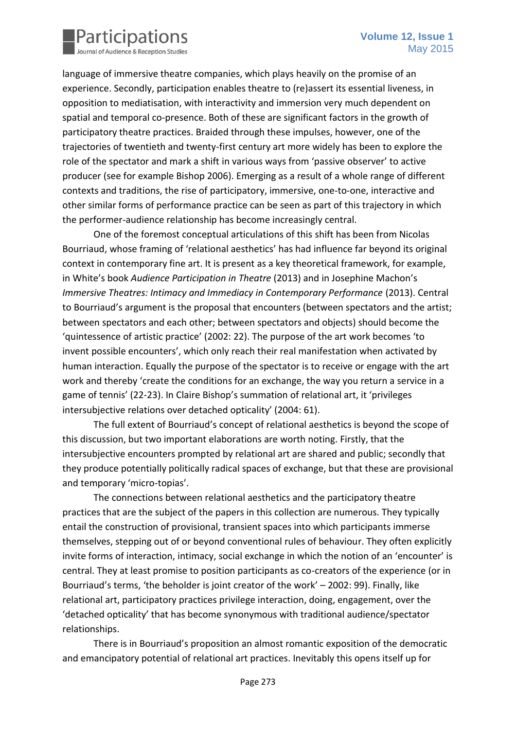

language of immersive theatre companies, which plays heavily on the promise of an experience. Secondly, participation enables theatre to (re)assert its essential liveness, in opposition to mediatisation, with interactivity and immersion very much dependent on spatial and temporal co-presence. Both of these are significant factors in the growth of participatory theatre practices. Braided through these impulses, however, one of the trajectories of twentieth and twenty-first century art more widely has been to explore the role of the spectator and mark a shift in various ways from 'passive observer' to active producer (see for example Bishop 2006). Emerging as a result of a whole range of different contexts and traditions, the rise of participatory, immersive, one-to-one, interactive and other similar forms of performance practice can be seen as part of this trajectory in which the performer-audience relationship has become increasingly central.

One of the foremost conceptual articulations of this shift has been from Nicolas Bourriaud, whose framing of 'relational aesthetics' has had influence far beyond its original context in contemporary fine art. It is present as a key theoretical framework, for example, in White's book *Audience Participation in Theatre* (2013) and in Josephine Machon's *Immersive Theatres: Intimacy and Immediacy in Contemporary Performance* (2013). Central to Bourriaud's argument is the proposal that encounters (between spectators and the artist; between spectators and each other; between spectators and objects) should become the 'quintessence of artistic practice' (2002: 22). The purpose of the art work becomes 'to invent possible encounters', which only reach their real manifestation when activated by human interaction. Equally the purpose of the spectator is to receive or engage with the art work and thereby 'create the conditions for an exchange, the way you return a service in a game of tennis' (22-23). In Claire Bishop's summation of relational art, it 'privileges intersubjective relations over detached opticality' (2004: 61).

The full extent of Bourriaud's concept of relational aesthetics is beyond the scope of this discussion, but two important elaborations are worth noting. Firstly, that the intersubjective encounters prompted by relational art are shared and public; secondly that they produce potentially politically radical spaces of exchange, but that these are provisional and temporary 'micro-topias'.

The connections between relational aesthetics and the participatory theatre practices that are the subject of the papers in this collection are numerous. They typically entail the construction of provisional, transient spaces into which participants immerse themselves, stepping out of or beyond conventional rules of behaviour. They often explicitly invite forms of interaction, intimacy, social exchange in which the notion of an 'encounter' is central. They at least promise to position participants as co-creators of the experience (or in Bourriaud's terms, 'the beholder is joint creator of the work' – 2002: 99). Finally, like relational art, participatory practices privilege interaction, doing, engagement, over the 'detached opticality' that has become synonymous with traditional audience/spectator relationships.

There is in Bourriaud's proposition an almost romantic exposition of the democratic and emancipatory potential of relational art practices. Inevitably this opens itself up for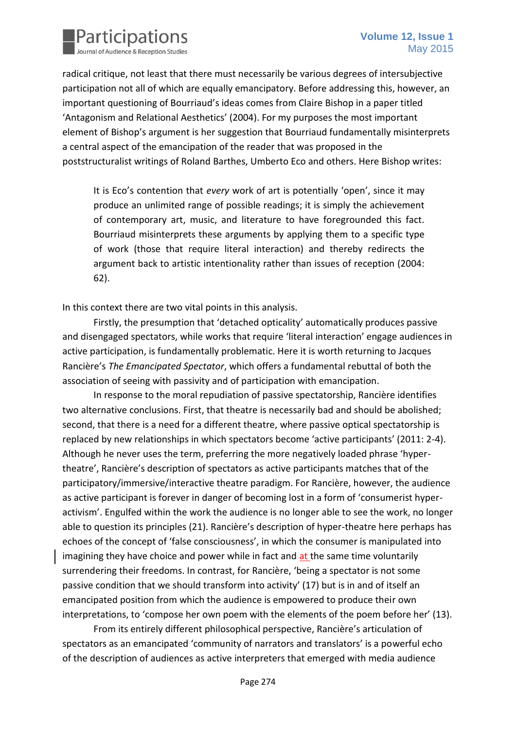

radical critique, not least that there must necessarily be various degrees of intersubjective participation not all of which are equally emancipatory. Before addressing this, however, an important questioning of Bourriaud's ideas comes from Claire Bishop in a paper titled 'Antagonism and Relational Aesthetics' (2004). For my purposes the most important element of Bishop's argument is her suggestion that Bourriaud fundamentally misinterprets a central aspect of the emancipation of the reader that was proposed in the poststructuralist writings of Roland Barthes, Umberto Eco and others. Here Bishop writes:

It is Eco's contention that *every* work of art is potentially 'open', since it may produce an unlimited range of possible readings; it is simply the achievement of contemporary art, music, and literature to have foregrounded this fact. Bourriaud misinterprets these arguments by applying them to a specific type of work (those that require literal interaction) and thereby redirects the argument back to artistic intentionality rather than issues of reception (2004: 62).

In this context there are two vital points in this analysis.

Firstly, the presumption that 'detached opticality' automatically produces passive and disengaged spectators, while works that require 'literal interaction' engage audiences in active participation, is fundamentally problematic. Here it is worth returning to Jacques Rancière's *The Emancipated Spectator*, which offers a fundamental rebuttal of both the association of seeing with passivity and of participation with emancipation.

In response to the moral repudiation of passive spectatorship, Rancière identifies two alternative conclusions. First, that theatre is necessarily bad and should be abolished; second, that there is a need for a different theatre, where passive optical spectatorship is replaced by new relationships in which spectators become 'active participants' (2011: 2-4). Although he never uses the term, preferring the more negatively loaded phrase 'hypertheatre', Rancière's description of spectators as active participants matches that of the participatory/immersive/interactive theatre paradigm. For Rancière, however, the audience as active participant is forever in danger of becoming lost in a form of 'consumerist hyperactivism'. Engulfed within the work the audience is no longer able to see the work, no longer able to question its principles (21). Rancière's description of hyper-theatre here perhaps has echoes of the concept of 'false consciousness', in which the consumer is manipulated into imagining they have choice and power while in fact and at the same time voluntarily surrendering their freedoms. In contrast, for Rancière, 'being a spectator is not some passive condition that we should transform into activity' (17) but is in and of itself an emancipated position from which the audience is empowered to produce their own interpretations, to 'compose her own poem with the elements of the poem before her' (13).

From its entirely different philosophical perspective, Rancière's articulation of spectators as an emancipated 'community of narrators and translators' is a powerful echo of the description of audiences as active interpreters that emerged with media audience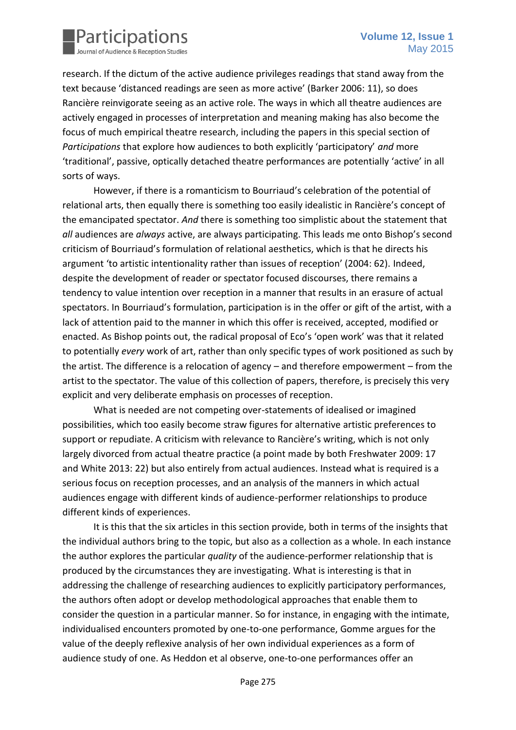

research. If the dictum of the active audience privileges readings that stand away from the text because 'distanced readings are seen as more active' (Barker 2006: 11), so does Rancière reinvigorate seeing as an active role. The ways in which all theatre audiences are actively engaged in processes of interpretation and meaning making has also become the focus of much empirical theatre research, including the papers in this special section of *Participations* that explore how audiences to both explicitly 'participatory' *and* more 'traditional', passive, optically detached theatre performances are potentially 'active' in all sorts of ways.

However, if there is a romanticism to Bourriaud's celebration of the potential of relational arts, then equally there is something too easily idealistic in Rancière's concept of the emancipated spectator. *And* there is something too simplistic about the statement that *all* audiences are *always* active, are always participating. This leads me onto Bishop's second criticism of Bourriaud's formulation of relational aesthetics, which is that he directs his argument 'to artistic intentionality rather than issues of reception' (2004: 62). Indeed, despite the development of reader or spectator focused discourses, there remains a tendency to value intention over reception in a manner that results in an erasure of actual spectators. In Bourriaud's formulation, participation is in the offer or gift of the artist, with a lack of attention paid to the manner in which this offer is received, accepted, modified or enacted. As Bishop points out, the radical proposal of Eco's 'open work' was that it related to potentially *every* work of art, rather than only specific types of work positioned as such by the artist. The difference is a relocation of agency – and therefore empowerment – from the artist to the spectator. The value of this collection of papers, therefore, is precisely this very explicit and very deliberate emphasis on processes of reception.

What is needed are not competing over-statements of idealised or imagined possibilities, which too easily become straw figures for alternative artistic preferences to support or repudiate. A criticism with relevance to Rancière's writing, which is not only largely divorced from actual theatre practice (a point made by both Freshwater 2009: 17 and White 2013: 22) but also entirely from actual audiences. Instead what is required is a serious focus on reception processes, and an analysis of the manners in which actual audiences engage with different kinds of audience-performer relationships to produce different kinds of experiences.

It is this that the six articles in this section provide, both in terms of the insights that the individual authors bring to the topic, but also as a collection as a whole. In each instance the author explores the particular *quality* of the audience-performer relationship that is produced by the circumstances they are investigating. What is interesting is that in addressing the challenge of researching audiences to explicitly participatory performances, the authors often adopt or develop methodological approaches that enable them to consider the question in a particular manner. So for instance, in engaging with the intimate, individualised encounters promoted by one-to-one performance, Gomme argues for the value of the deeply reflexive analysis of her own individual experiences as a form of audience study of one. As Heddon et al observe, one-to-one performances offer an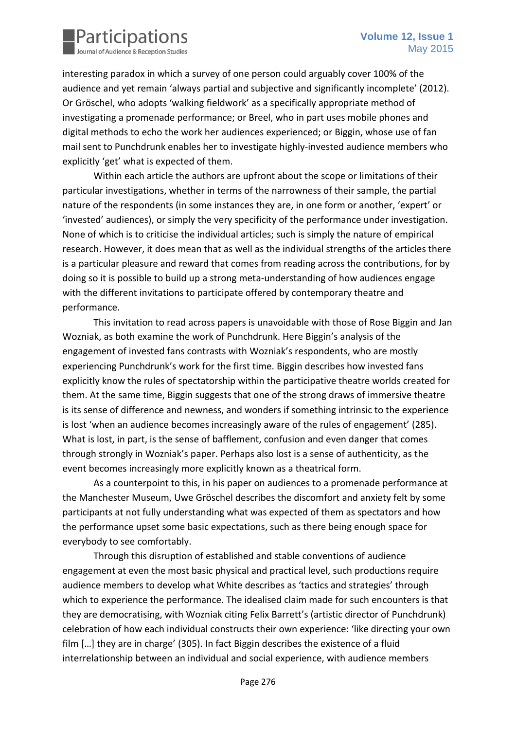

interesting paradox in which a survey of one person could arguably cover 100% of the audience and yet remain 'always partial and subjective and significantly incomplete' (2012). Or Gröschel, who adopts 'walking fieldwork' as a specifically appropriate method of investigating a promenade performance; or Breel, who in part uses mobile phones and digital methods to echo the work her audiences experienced; or Biggin, whose use of fan mail sent to Punchdrunk enables her to investigate highly-invested audience members who explicitly 'get' what is expected of them.

Within each article the authors are upfront about the scope or limitations of their particular investigations, whether in terms of the narrowness of their sample, the partial nature of the respondents (in some instances they are, in one form or another, 'expert' or 'invested' audiences), or simply the very specificity of the performance under investigation. None of which is to criticise the individual articles; such is simply the nature of empirical research. However, it does mean that as well as the individual strengths of the articles there is a particular pleasure and reward that comes from reading across the contributions, for by doing so it is possible to build up a strong meta-understanding of how audiences engage with the different invitations to participate offered by contemporary theatre and performance.

This invitation to read across papers is unavoidable with those of Rose Biggin and Jan Wozniak, as both examine the work of Punchdrunk. Here Biggin's analysis of the engagement of invested fans contrasts with Wozniak's respondents, who are mostly experiencing Punchdrunk's work for the first time. Biggin describes how invested fans explicitly know the rules of spectatorship within the participative theatre worlds created for them. At the same time, Biggin suggests that one of the strong draws of immersive theatre is its sense of difference and newness, and wonders if something intrinsic to the experience is lost 'when an audience becomes increasingly aware of the rules of engagement' (285). What is lost, in part, is the sense of bafflement, confusion and even danger that comes through strongly in Wozniak's paper. Perhaps also lost is a sense of authenticity, as the event becomes increasingly more explicitly known as a theatrical form.

As a counterpoint to this, in his paper on audiences to a promenade performance at the Manchester Museum, Uwe Gröschel describes the discomfort and anxiety felt by some participants at not fully understanding what was expected of them as spectators and how the performance upset some basic expectations, such as there being enough space for everybody to see comfortably.

Through this disruption of established and stable conventions of audience engagement at even the most basic physical and practical level, such productions require audience members to develop what White describes as 'tactics and strategies' through which to experience the performance. The idealised claim made for such encounters is that they are democratising, with Wozniak citing Felix Barrett's (artistic director of Punchdrunk) celebration of how each individual constructs their own experience: 'like directing your own film […] they are in charge' (305). In fact Biggin describes the existence of a fluid interrelationship between an individual and social experience, with audience members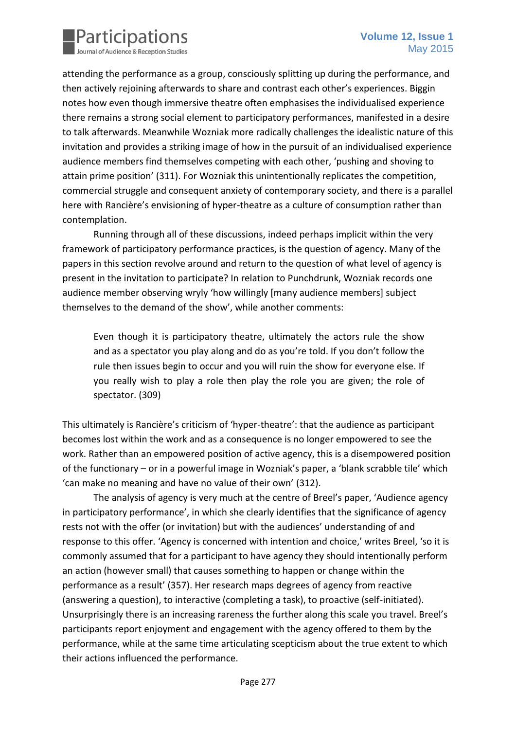

attending the performance as a group, consciously splitting up during the performance, and then actively rejoining afterwards to share and contrast each other's experiences. Biggin notes how even though immersive theatre often emphasises the individualised experience there remains a strong social element to participatory performances, manifested in a desire to talk afterwards. Meanwhile Wozniak more radically challenges the idealistic nature of this invitation and provides a striking image of how in the pursuit of an individualised experience audience members find themselves competing with each other, 'pushing and shoving to attain prime position' (311). For Wozniak this unintentionally replicates the competition, commercial struggle and consequent anxiety of contemporary society, and there is a parallel here with Rancière's envisioning of hyper-theatre as a culture of consumption rather than contemplation.

Running through all of these discussions, indeed perhaps implicit within the very framework of participatory performance practices, is the question of agency. Many of the papers in this section revolve around and return to the question of what level of agency is present in the invitation to participate? In relation to Punchdrunk, Wozniak records one audience member observing wryly 'how willingly [many audience members] subject themselves to the demand of the show', while another comments:

Even though it is participatory theatre, ultimately the actors rule the show and as a spectator you play along and do as you're told. If you don't follow the rule then issues begin to occur and you will ruin the show for everyone else. If you really wish to play a role then play the role you are given; the role of spectator. (309)

This ultimately is Rancière's criticism of 'hyper-theatre': that the audience as participant becomes lost within the work and as a consequence is no longer empowered to see the work. Rather than an empowered position of active agency, this is a disempowered position of the functionary – or in a powerful image in Wozniak's paper, a 'blank scrabble tile' which 'can make no meaning and have no value of their own' (312).

The analysis of agency is very much at the centre of Breel's paper, 'Audience agency in participatory performance', in which she clearly identifies that the significance of agency rests not with the offer (or invitation) but with the audiences' understanding of and response to this offer. 'Agency is concerned with intention and choice,' writes Breel, 'so it is commonly assumed that for a participant to have agency they should intentionally perform an action (however small) that causes something to happen or change within the performance as a result' (357). Her research maps degrees of agency from reactive (answering a question), to interactive (completing a task), to proactive (self-initiated). Unsurprisingly there is an increasing rareness the further along this scale you travel. Breel's participants report enjoyment and engagement with the agency offered to them by the performance, while at the same time articulating scepticism about the true extent to which their actions influenced the performance.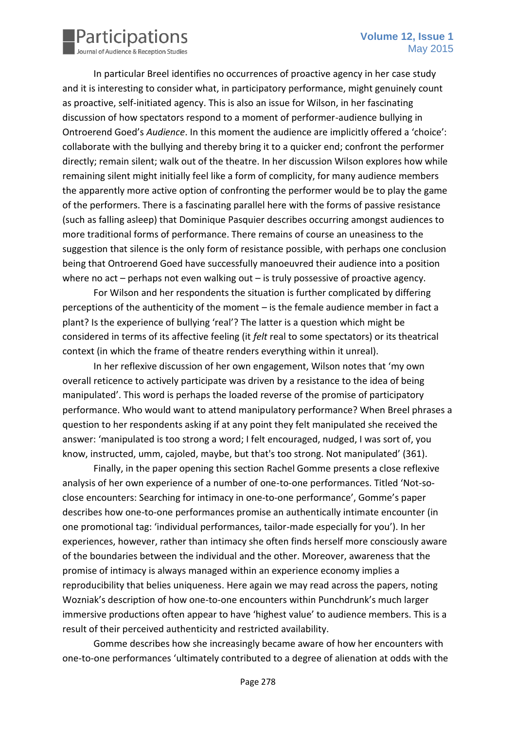

In particular Breel identifies no occurrences of proactive agency in her case study and it is interesting to consider what, in participatory performance, might genuinely count as proactive, self-initiated agency. This is also an issue for Wilson, in her fascinating discussion of how spectators respond to a moment of performer-audience bullying in Ontroerend Goed's *Audience*. In this moment the audience are implicitly offered a 'choice': collaborate with the bullying and thereby bring it to a quicker end; confront the performer directly; remain silent; walk out of the theatre. In her discussion Wilson explores how while remaining silent might initially feel like a form of complicity, for many audience members the apparently more active option of confronting the performer would be to play the game of the performers. There is a fascinating parallel here with the forms of passive resistance (such as falling asleep) that Dominique Pasquier describes occurring amongst audiences to more traditional forms of performance. There remains of course an uneasiness to the suggestion that silence is the only form of resistance possible, with perhaps one conclusion being that Ontroerend Goed have successfully manoeuvred their audience into a position where no act – perhaps not even walking out – is truly possessive of proactive agency.

For Wilson and her respondents the situation is further complicated by differing perceptions of the authenticity of the moment – is the female audience member in fact a plant? Is the experience of bullying 'real'? The latter is a question which might be considered in terms of its affective feeling (it *felt* real to some spectators) or its theatrical context (in which the frame of theatre renders everything within it unreal).

In her reflexive discussion of her own engagement, Wilson notes that 'my own overall reticence to actively participate was driven by a resistance to the idea of being manipulated'. This word is perhaps the loaded reverse of the promise of participatory performance. Who would want to attend manipulatory performance? When Breel phrases a question to her respondents asking if at any point they felt manipulated she received the answer: 'manipulated is too strong a word; I felt encouraged, nudged, I was sort of, you know, instructed, umm, cajoled, maybe, but that's too strong. Not manipulated' (361).

Finally, in the paper opening this section Rachel Gomme presents a close reflexive analysis of her own experience of a number of one-to-one performances. Titled 'Not-soclose encounters: Searching for intimacy in one-to-one performance', Gomme's paper describes how one-to-one performances promise an authentically intimate encounter (in one promotional tag: 'individual performances, tailor-made especially for you'). In her experiences, however, rather than intimacy she often finds herself more consciously aware of the boundaries between the individual and the other. Moreover, awareness that the promise of intimacy is always managed within an experience economy implies a reproducibility that belies uniqueness. Here again we may read across the papers, noting Wozniak's description of how one-to-one encounters within Punchdrunk's much larger immersive productions often appear to have 'highest value' to audience members. This is a result of their perceived authenticity and restricted availability.

Gomme describes how she increasingly became aware of how her encounters with one-to-one performances 'ultimately contributed to a degree of alienation at odds with the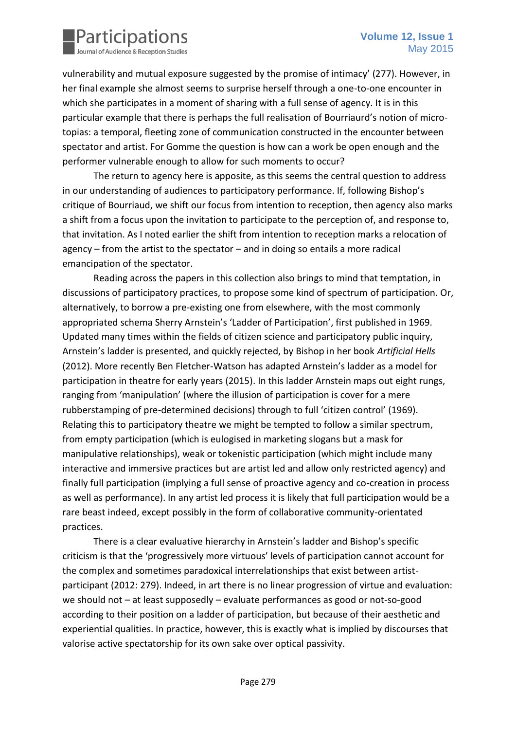

vulnerability and mutual exposure suggested by the promise of intimacy' (277). However, in her final example she almost seems to surprise herself through a one-to-one encounter in which she participates in a moment of sharing with a full sense of agency. It is in this particular example that there is perhaps the full realisation of Bourriaurd's notion of microtopias: a temporal, fleeting zone of communication constructed in the encounter between spectator and artist. For Gomme the question is how can a work be open enough and the performer vulnerable enough to allow for such moments to occur?

The return to agency here is apposite, as this seems the central question to address in our understanding of audiences to participatory performance. If, following Bishop's critique of Bourriaud, we shift our focus from intention to reception, then agency also marks a shift from a focus upon the invitation to participate to the perception of, and response to, that invitation. As I noted earlier the shift from intention to reception marks a relocation of agency – from the artist to the spectator – and in doing so entails a more radical emancipation of the spectator.

Reading across the papers in this collection also brings to mind that temptation, in discussions of participatory practices, to propose some kind of spectrum of participation. Or, alternatively, to borrow a pre-existing one from elsewhere, with the most commonly appropriated schema Sherry Arnstein's 'Ladder of Participation', first published in 1969. Updated many times within the fields of citizen science and participatory public inquiry, Arnstein's ladder is presented, and quickly rejected, by Bishop in her book *Artificial Hells*  (2012). More recently Ben Fletcher-Watson has adapted Arnstein's ladder as a model for participation in theatre for early years (2015). In this ladder Arnstein maps out eight rungs, ranging from 'manipulation' (where the illusion of participation is cover for a mere rubberstamping of pre-determined decisions) through to full 'citizen control' (1969). Relating this to participatory theatre we might be tempted to follow a similar spectrum, from empty participation (which is eulogised in marketing slogans but a mask for manipulative relationships), weak or tokenistic participation (which might include many interactive and immersive practices but are artist led and allow only restricted agency) and finally full participation (implying a full sense of proactive agency and co-creation in process as well as performance). In any artist led process it is likely that full participation would be a rare beast indeed, except possibly in the form of collaborative community-orientated practices.

There is a clear evaluative hierarchy in Arnstein's ladder and Bishop's specific criticism is that the 'progressively more virtuous' levels of participation cannot account for the complex and sometimes paradoxical interrelationships that exist between artistparticipant (2012: 279). Indeed, in art there is no linear progression of virtue and evaluation: we should not – at least supposedly – evaluate performances as good or not-so-good according to their position on a ladder of participation, but because of their aesthetic and experiential qualities. In practice, however, this is exactly what is implied by discourses that valorise active spectatorship for its own sake over optical passivity.